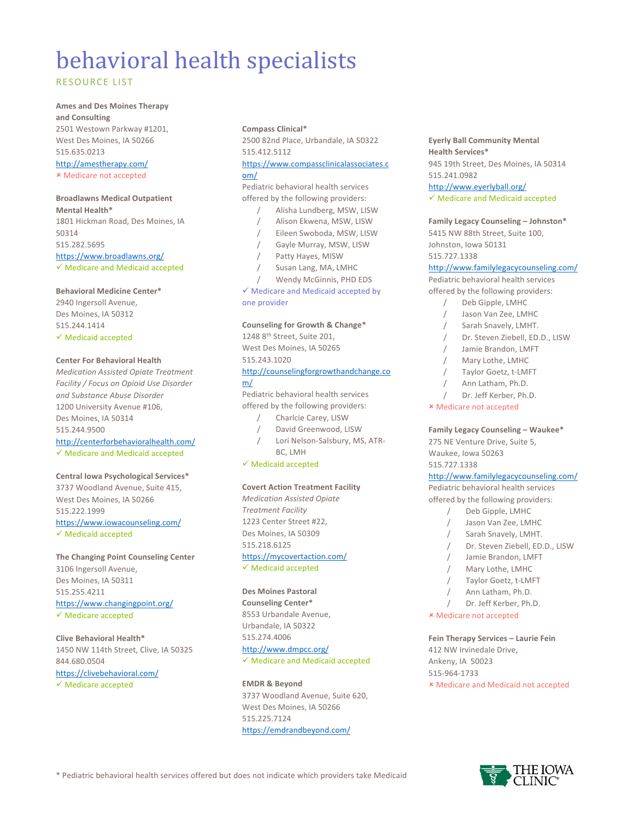# behavioral health specialists

### RESOURCE LIST

## **Ames and Des Moines Therapy**

**and Consulting** 2501 Westown Parkway #1201, West Des Moines, IA 50266 515.635.0213 http://amestherapy.com/

û Medicare not accepted

#### **Broadlawns Medical Outpatient**

**Mental Health\*** 1801 Hickman Road, Des Moines, IA 50314 515.282.5695 https://www.broadlawns.org/

 $\checkmark$  Medicare and Medicaid accepted

#### **Behavioral Medicine Center\***

2940 Ingersoll Avenue, Des Moines, IA 50312 515.244.1414  $\checkmark$  Medicaid accepted

#### **Center For Behavioral Health**

*Medication Assisted Opiate Treatment Facility / Focus on Opioid Use Disorder and Substance Abuse Disorder* 1200 University Avenue #106, Des Moines, IA 50314 515.244.9500

#### http://centerforbehavioralhealth.com/

 $\checkmark$  Medicare and Medicaid accepted

# **Central Iowa Psychological Services\***

3737 Woodland Avenue, Suite 415, West Des Moines, IA 50266 515.222.1999 https://www.iowacounseling.com/  $\checkmark$  Medicaid accepted

**The Changing Point Counseling Center** 3106 Ingersoll Avenue, Des Moines, IA 50311 515.255.4211 https://www.changingpoint.org/

 $\checkmark$  Medicare accepted

#### **Clive Behavioral Health\***

1450 NW 114th Street, Clive, IA 50325 844.680.0504 https://clivebehavioral.com/

#### $\checkmark$  Medicare accepted

#### **Compass Clinical\***

2500 82nd Place, Urbandale, IA 50322 515.412.5112

# https://www.compassclinicalassociates.c

#### om/

Pediatric behavioral health services offered by the following providers:

- / Alisha Lundberg, MSW, LISW
- / Alison Ekwena, MSW, LISW
- / Eileen Swoboda, MSW, LISW
- Gayle Murray, MSW, LISW
- Patty Hayes, MISW
- / Susan Lang, MA, LMHC
- Wendy McGinnis, PHD EDS

#### $\checkmark$  Medicare and Medicaid accepted by one provider

#### **Counseling for Growth & Change\***

1248 8th Street, Suite 201, West Des Moines, IA 50265

# 515.243.1020

#### http://counselingforgrowthandchange.co m/

Pediatric behavioral health services offered by the following providers:

- / Charlcie Carey, LISW
- / David Greenwood, LISW / Lori Nelson-Salsbury, MS, ATR-
- BC, LMH

#### $\checkmark$  Medicaid accepted

#### **Covert Action Treatment Facility**

*Medication Assisted Opiate Treatment Facility* 1223 Center Street #22, Des Moines, IA 50309 515.218.6125 https://mycovertaction.com/  $\checkmark$  Medicaid accepted

#### **Des Moines Pastoral**

**Counseling Center\*** 8553 Urbandale Avenue, Urbandale, IA 50322 515.274.4006 http://www.dmpcc.org/  $\checkmark$  Medicare and Medicaid accepted

#### **EMDR & Beyond**

3737 Woodland Avenue, Suite 620, West Des Moines, IA 50266 515.225.7124 https://emdrandbeyond.com/

#### **Eyerly Ball Community Mental Health Services\*** 945 19th Street, Des Moines, IA 50314 515.241.0982 http://www.eyerlyball.org/

 $\checkmark$  Medicare and Medicaid accepted

**Family Legacy Counseling – Johnston\*** 5415 NW 88th Street, Suite 100, Johnston, Iowa 50131 515.727.1338

#### http://www.familylegacycounseling.com/

Pediatric behavioral health services offered by the following providers:

- / Deb Gipple, LMHC
- / Jason Van Zee, LMHC
- / Sarah Snavely, LMHT.
- Dr. Steven Ziebell, ED.D., LISW
- / Jamie Brandon, LMFT
- / Mary Lothe, LMHC
- / Taylor Goetz, t-LMFT
- / Ann Latham, Ph.D.
- / Dr. Jeff Kerber, Ph.D.
- û Medicare not accepted

#### **Family Legacy Counseling – Waukee\***

275 NE Venture Drive, Suite 5, Waukee, Iowa 50263 515.727.1338

#### http://www.familylegacycounseling.com/

Pediatric behavioral health services offered by the following providers:

- / Deb Gipple, LMHC
- / Jason Van Zee, LMHC
- / Sarah Snavely, LMHT.
- Dr. Steven Ziebell, ED.D., LISW
- / Jamie Brandon, LMFT
- / Mary Lothe, LMHC
- / Taylor Goetz, t-LMFT
- Ann Latham, Ph.D.
- Dr. Jeff Kerber, Ph.D.
- û Medicare not accepted

**Fein Therapy Services – Laurie Fein** 412 NW Irvinedale Drive, Ankeny, IA 50023 515-964-1733 û Medicare and Medicaid not accepted